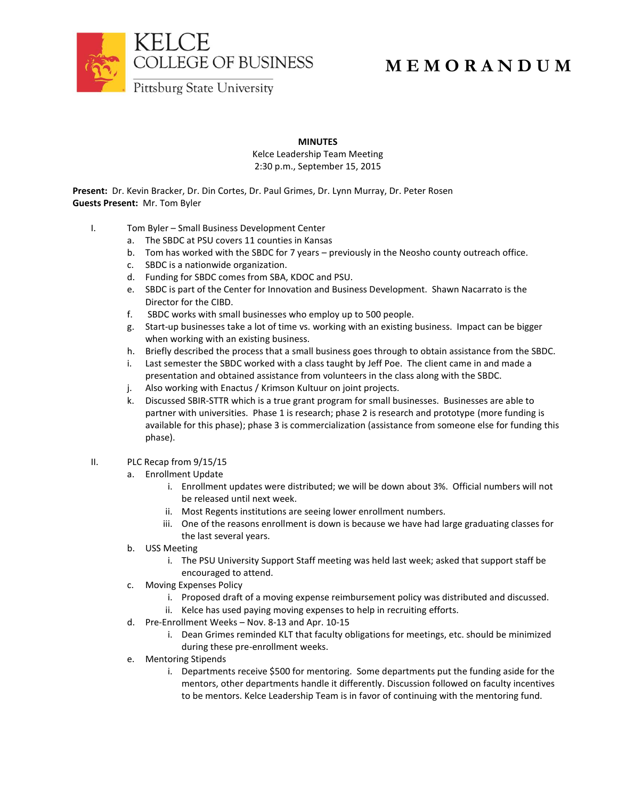

## **M E M O R A N D U M**

**MINUTES**

Kelce Leadership Team Meeting 2:30 p.m., September 15, 2015

**Present:** Dr. Kevin Bracker, Dr. Din Cortes, Dr. Paul Grimes, Dr. Lynn Murray, Dr. Peter Rosen **Guests Present:** Mr. Tom Byler

- I. Tom Byler Small Business Development Center
	- a. The SBDC at PSU covers 11 counties in Kansas
	- b. Tom has worked with the SBDC for 7 years previously in the Neosho county outreach office.
	- c. SBDC is a nationwide organization.
	- d. Funding for SBDC comes from SBA, KDOC and PSU.
	- e. SBDC is part of the Center for Innovation and Business Development. Shawn Nacarrato is the Director for the CIBD.
	- f. SBDC works with small businesses who employ up to 500 people.
	- g. Start-up businesses take a lot of time vs. working with an existing business. Impact can be bigger when working with an existing business.
	- h. Briefly described the process that a small business goes through to obtain assistance from the SBDC.
	- i. Last semester the SBDC worked with a class taught by Jeff Poe. The client came in and made a presentation and obtained assistance from volunteers in the class along with the SBDC.
	- j. Also working with Enactus / Krimson Kultuur on joint projects.
	- k. Discussed SBIR-STTR which is a true grant program for small businesses. Businesses are able to partner with universities. Phase 1 is research; phase 2 is research and prototype (more funding is available for this phase); phase 3 is commercialization (assistance from someone else for funding this phase).
- II. PLC Recap from 9/15/15
	- a. Enrollment Update
		- i. Enrollment updates were distributed; we will be down about 3%. Official numbers will not be released until next week.
		- ii. Most Regents institutions are seeing lower enrollment numbers.
		- iii. One of the reasons enrollment is down is because we have had large graduating classes for the last several years.
	- b. USS Meeting
		- i. The PSU University Support Staff meeting was held last week; asked that support staff be encouraged to attend.
	- c. Moving Expenses Policy
		- i. Proposed draft of a moving expense reimbursement policy was distributed and discussed.
		- ii. Kelce has used paying moving expenses to help in recruiting efforts.
	- d. Pre-Enrollment Weeks Nov. 8-13 and Apr. 10-15
		- i. Dean Grimes reminded KLT that faculty obligations for meetings, etc. should be minimized during these pre-enrollment weeks.
	- e. Mentoring Stipends
		- i. Departments receive \$500 for mentoring. Some departments put the funding aside for the mentors, other departments handle it differently. Discussion followed on faculty incentives to be mentors. Kelce Leadership Team is in favor of continuing with the mentoring fund.